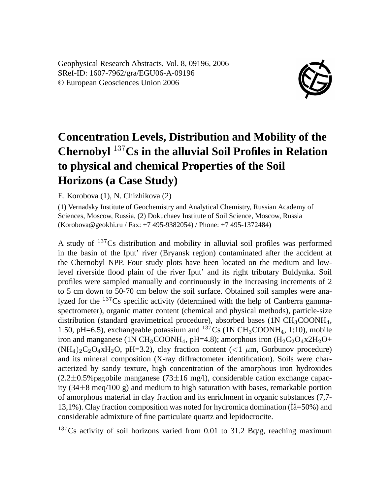Geophysical Research Abstracts, Vol. 8, 09196, 2006 SRef-ID: 1607-7962/gra/EGU06-A-09196 © European Geosciences Union 2006



## **Concentration Levels, Distribution and Mobility of the Chernobyl** <sup>137</sup>**Cs in the alluvial Soil Profiles in Relation to physical and chemical Properties of the Soil Horizons (a Case Study)**

E. Korobova (1), N. Chizhikova (2)

(1) Vernadsky Institute of Geochemistry and Analytical Chemistry, Russian Academy of Sciences, Moscow, Russia, (2) Dokuchaev Institute of Soil Science, Moscow, Russia (Korobova@geokhi.ru / Fax: +7 495-9382054) / Phone: +7 495-1372484)

A study of <sup>137</sup>Cs distribution and mobility in alluvial soil profiles was performed in the basin of the Iput' river (Bryansk region) contaminated after the accident at the Chernobyl NPP. Four study plots have been located on the medium and lowlevel riverside flood plain of the river Iput' and its right tributary Buldynka. Soil profiles were sampled manually and continuously in the increasing increments of 2 to 5 cm down to 50-70 cm below the soil surface. Obtained soil samples were analyzed for the <sup>137</sup>Cs specific activity (determined with the help of Canberra gammaspectrometer), organic matter content (chemical and physical methods), particle-size distribution (standard gravimetrical procedure), absorbed bases  $(1N CH<sub>3</sub>COONH<sub>4</sub>)$ , 1:50, pH=6.5), exchangeable potassium and  $^{137}Cs$  (1N CH<sub>3</sub>COONH<sub>4</sub>, 1:10), mobile iron and manganese (1N CH<sub>3</sub>COONH<sub>4</sub>, pH=4.8); amorphous iron  $(H_2C_2O_4x2H_2O+$  $(NH_4)_2C_2O_4xH_2O$ , pH=3.2), clay fraction content (<1  $\mu$ m, Gorbunov procedure) and its mineral composition (X-ray diffractometer identification). Soils were characterized by sandy texture, high concentration of the amorphous iron hydroxides  $(2.2\pm0.5\%$ psgobile manganese  $(73\pm16 \text{ mg/l})$ , considerable cation exchange capacity  $(34\pm8 \text{ meq}/100 \text{ g})$  and medium to high saturation with bases, remarkable portion of amorphous material in clay fraction and its enrichment in organic substances (7,7- 13,1%). Clay fraction composition was noted for hydromica domination  $(\hat{I}\hat{a}=50\%)$  and considerable admixture of fine particulate quartz and lepidocrocite.

<sup>137</sup>Cs activity of soil horizons varied from 0.01 to 31.2 Bq/g, reaching maximum